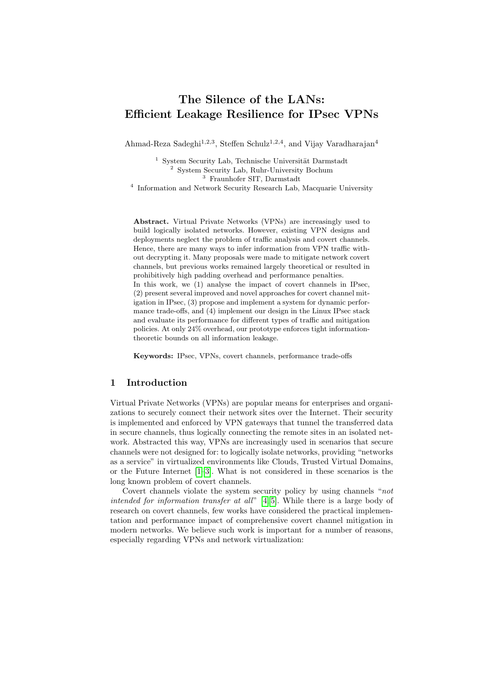# The Silence of the LANs: Efficient Leakage Resilience for IPsec VPNs

Ahmad-Reza Sadeghi<sup>1,2,3</sup>, Steffen Schulz<sup>1,2,4</sup>, and Vijay Varadharajan<sup>4</sup>

 $1$  System Security Lab, Technische Universität Darmstadt <sup>2</sup> System Security Lab, Ruhr-University Bochum <sup>3</sup> Fraunhofer SIT, Darmstadt

4 Information and Network Security Research Lab, Macquarie University

Abstract. Virtual Private Networks (VPNs) are increasingly used to build logically isolated networks. However, existing VPN designs and deployments neglect the problem of traffic analysis and covert channels. Hence, there are many ways to infer information from VPN traffic without decrypting it. Many proposals were made to mitigate network covert channels, but previous works remained largely theoretical or resulted in prohibitively high padding overhead and performance penalties. In this work, we (1) analyse the impact of covert channels in IPsec, (2) present several improved and novel approaches for covert channel mitigation in IPsec, (3) propose and implement a system for dynamic performance trade-offs, and (4) implement our design in the Linux IPsec stack and evaluate its performance for different types of traffic and mitigation policies. At only 24% overhead, our prototype enforces tight information-

Keywords: IPsec, VPNs, covert channels, performance trade-offs

theoretic bounds on all information leakage.

# <span id="page-0-0"></span>1 Introduction

Virtual Private Networks (VPNs) are popular means for enterprises and organizations to securely connect their network sites over the Internet. Their security is implemented and enforced by VPN gateways that tunnel the transferred data in secure channels, thus logically connecting the remote sites in an isolated network. Abstracted this way, VPNs are increasingly used in scenarios that secure channels were not designed for: to logically isolate networks, providing "networks as a service" in virtualized environments like Clouds, Trusted Virtual Domains, or the Future Internet [\[1–](#page-16-0)[3\]](#page-16-1). What is not considered in these scenarios is the long known problem of covert channels.

Covert channels violate the system security policy by using channels "not intended for information transfer at all" [\[4,](#page-16-2) [5\]](#page-16-3). While there is a large body of research on covert channels, few works have considered the practical implementation and performance impact of comprehensive covert channel mitigation in modern networks. We believe such work is important for a number of reasons, especially regarding VPNs and network virtualization: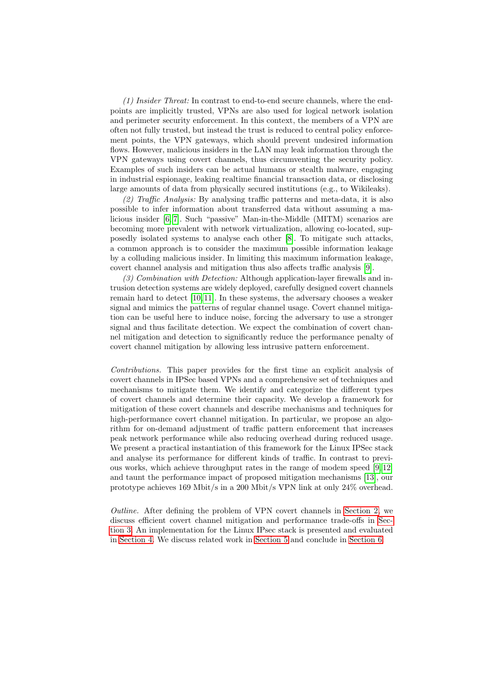(1) Insider Threat: In contrast to end-to-end secure channels, where the endpoints are implicitly trusted, VPNs are also used for logical network isolation and perimeter security enforcement. In this context, the members of a VPN are often not fully trusted, but instead the trust is reduced to central policy enforcement points, the VPN gateways, which should prevent undesired information flows. However, malicious insiders in the LAN may leak information through the VPN gateways using covert channels, thus circumventing the security policy. Examples of such insiders can be actual humans or stealth malware, engaging in industrial espionage, leaking realtime financial transaction data, or disclosing large amounts of data from physically secured institutions (e.g., to Wikileaks).

(2) Traffic Analysis: By analysing traffic patterns and meta-data, it is also possible to infer information about transferred data without assuming a malicious insider [\[6,](#page-16-4) [7\]](#page-16-5). Such "passive" Man-in-the-Middle (MITM) scenarios are becoming more prevalent with network virtualization, allowing co-located, supposedly isolated systems to analyse each other [\[8\]](#page-16-6). To mitigate such attacks, a common approach is to consider the maximum possible information leakage by a colluding malicious insider. In limiting this maximum information leakage, covert channel analysis and mitigation thus also affects traffic analysis [\[9\]](#page-16-7).

(3) Combination with Detection: Although application-layer firewalls and intrusion detection systems are widely deployed, carefully designed covert channels remain hard to detect [\[10,](#page-16-8) [11\]](#page-16-9). In these systems, the adversary chooses a weaker signal and mimics the patterns of regular channel usage. Covert channel mitigation can be useful here to induce noise, forcing the adversary to use a stronger signal and thus facilitate detection. We expect the combination of covert channel mitigation and detection to significantly reduce the performance penalty of covert channel mitigation by allowing less intrusive pattern enforcement.

Contributions. This paper provides for the first time an explicit analysis of covert channels in IPSec based VPNs and a comprehensive set of techniques and mechanisms to mitigate them. We identify and categorize the different types of covert channels and determine their capacity. We develop a framework for mitigation of these covert channels and describe mechanisms and techniques for high-performance covert channel mitigation. In particular, we propose an algorithm for on-demand adjustment of traffic pattern enforcement that increases peak network performance while also reducing overhead during reduced usage. We present a practical instantiation of this framework for the Linux IPSec stack and analyse its performance for different kinds of traffic. In contrast to previous works, which achieve throughput rates in the range of modem speed [\[9,](#page-16-7) [12\]](#page-16-10) and taunt the performance impact of proposed mitigation mechanisms [\[13\]](#page-16-11), our prototype achieves 169 Mbit/s in a 200 Mbit/s VPN link at only 24% overhead.

Outline. After defining the problem of VPN covert channels in [Section 2,](#page-2-0) we discuss efficient covert channel mitigation and performance trade-offs in [Sec](#page-4-0)[tion 3.](#page-4-0) An implementation for the Linux IPsec stack is presented and evaluated in [Section 4.](#page-11-0) We discuss related work in [Section 5](#page-14-0) and conclude in [Section 6.](#page-15-0)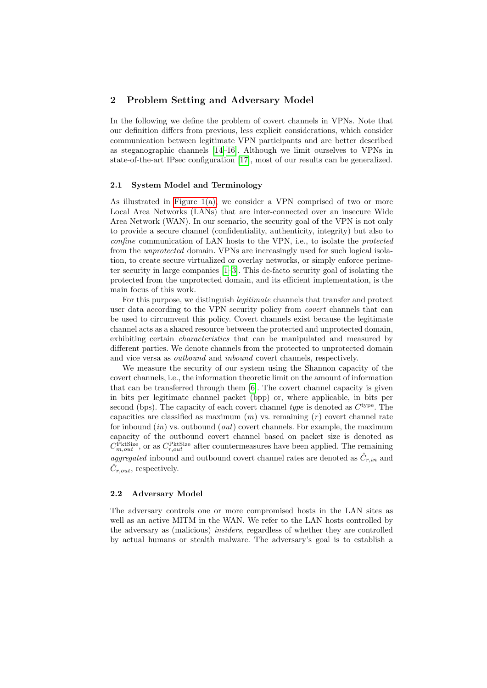## <span id="page-2-0"></span>2 Problem Setting and Adversary Model

In the following we define the problem of covert channels in VPNs. Note that our definition differs from previous, less explicit considerations, which consider communication between legitimate VPN participants and are better described as steganographic channels [\[14](#page-16-12)[–16\]](#page-16-13). Although we limit ourselves to VPNs in state-of-the-art IPsec configuration [\[17\]](#page-16-14), most of our results can be generalized.

#### 2.1 System Model and Terminology

As illustrated in [Figure 1\(a\),](#page-3-0) we consider a VPN comprised of two or more Local Area Networks (LANs) that are inter-connected over an insecure Wide Area Network (WAN). In our scenario, the security goal of the VPN is not only to provide a secure channel (confidentiality, authenticity, integrity) but also to confine communication of LAN hosts to the VPN, i.e., to isolate the protected from the unprotected domain. VPNs are increasingly used for such logical isolation, to create secure virtualized or overlay networks, or simply enforce perimeter security in large companies [\[1–](#page-16-0)[3\]](#page-16-1). This de-facto security goal of isolating the protected from the unprotected domain, and its efficient implementation, is the main focus of this work.

For this purpose, we distinguish legitimate channels that transfer and protect user data according to the VPN security policy from covert channels that can be used to circumvent this policy. Covert channels exist because the legitimate channel acts as a shared resource between the protected and unprotected domain, exhibiting certain *characteristics* that can be manipulated and measured by different parties. We denote channels from the protected to unprotected domain and vice versa as outbound and inbound covert channels, respectively.

We measure the security of our system using the Shannon capacity of the covert channels, i.e., the information theoretic limit on the amount of information that can be transferred through them [\[6\]](#page-16-4). The covert channel capacity is given in bits per legitimate channel packet (bpp) or, where applicable, in bits per second (bps). The capacity of each covert channel  $type$  is denoted as  $C^{\text{type}}$ . The capacities are classified as maximum  $(m)$  vs. remaining  $(r)$  covert channel rate for inbound  $(in)$  vs. outbound  $(out)$  covert channels. For example, the maximum capacity of the outbound covert channel based on packet size is denoted as  $C_{m,out}^{\text{PttSize}}$ , or as  $C_{r,out}^{\text{PttSize}}$  after countermeasures have been applied. The remaining aggregated inbound and outbound covert channel rates are denoted as  $\hat{C}_{r,in}$  and  $\hat{C}_{r,out}$ , respectively.

## <span id="page-2-1"></span>2.2 Adversary Model

The adversary controls one or more compromised hosts in the LAN sites as well as an active MITM in the WAN. We refer to the LAN hosts controlled by the adversary as (malicious) insiders, regardless of whether they are controlled by actual humans or stealth malware. The adversary's goal is to establish a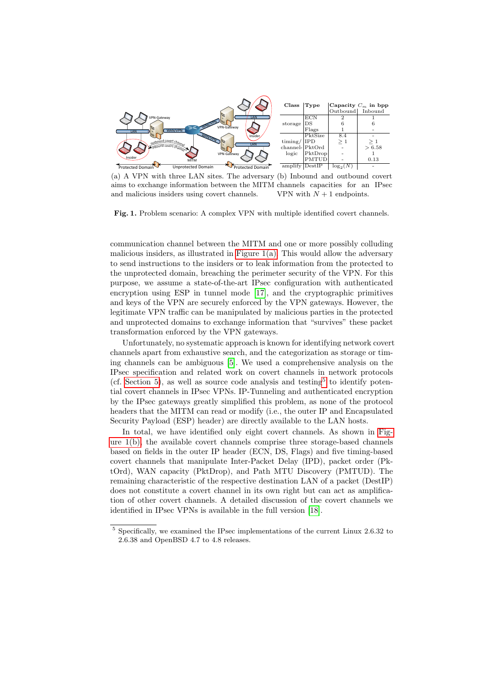<span id="page-3-0"></span>

<span id="page-3-2"></span>(a) A VPN with three LAN sites. The adversary (b) Inbound and outbound covert aims to exchange information between the MITM channels capacities for an IPsec and malicious insiders using covert channels. VPN with  $N+1$  endpoints.

Fig. 1. Problem scenario: A complex VPN with multiple identified covert channels.

communication channel between the MITM and one or more possibly colluding malicious insiders, as illustrated in Figure  $1(a)$ . This would allow the adversary to send instructions to the insiders or to leak information from the protected to the unprotected domain, breaching the perimeter security of the VPN. For this purpose, we assume a state-of-the-art IPsec configuration with authenticated encryption using ESP in tunnel mode [\[17\]](#page-16-14), and the cryptographic primitives and keys of the VPN are securely enforced by the VPN gateways. However, the legitimate VPN traffic can be manipulated by malicious parties in the protected and unprotected domains to exchange information that "survives" these packet transformation enforced by the VPN gateways.

Unfortunately, no systematic approach is known for identifying network covert channels apart from exhaustive search, and the categorization as storage or timing channels can be ambiguous [\[5\]](#page-16-3). We used a comprehensive analysis on the IPsec specification and related work on covert channels in network protocols  $(cf. Section 5)$  $(cf. Section 5)$ , as well as source code analysis and testing<sup>[5](#page-3-1)</sup> to identify potential covert channels in IPsec VPNs. IP-Tunneling and authenticated encryption by the IPsec gateways greatly simplified this problem, as none of the protocol headers that the MITM can read or modify (i.e., the outer IP and Encapsulated Security Payload (ESP) header) are directly available to the LAN hosts.

In total, we have identified only eight covert channels. As shown in [Fig](#page-3-2)[ure 1\(b\),](#page-3-2) the available covert channels comprise three storage-based channels based on fields in the outer IP header (ECN, DS, Flags) and five timing-based covert channels that manipulate Inter-Packet Delay (IPD), packet order (PktOrd), WAN capacity (PktDrop), and Path MTU Discovery (PMTUD). The remaining characteristic of the respective destination LAN of a packet (DestIP) does not constitute a covert channel in its own right but can act as amplification of other covert channels. A detailed discussion of the covert channels we identified in IPsec VPNs is available in the full version [\[18\]](#page-16-15).

<span id="page-3-1"></span><sup>5</sup> Specifically, we examined the IPsec implementations of the current Linux 2.6.32 to 2.6.38 and OpenBSD 4.7 to 4.8 releases.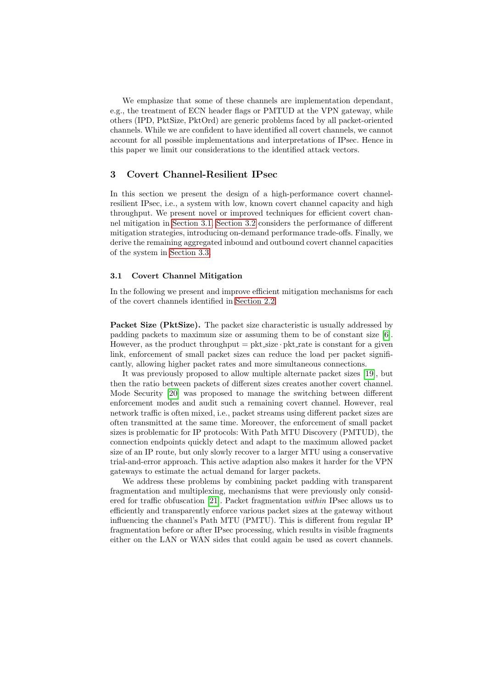We emphasize that some of these channels are implementation dependant, e.g., the treatment of ECN header flags or PMTUD at the VPN gateway, while others (IPD, PktSize, PktOrd) are generic problems faced by all packet-oriented channels. While we are confident to have identified all covert channels, we cannot account for all possible implementations and interpretations of IPsec. Hence in this paper we limit our considerations to the identified attack vectors.

# <span id="page-4-0"></span>3 Covert Channel-Resilient IPsec

In this section we present the design of a high-performance covert channelresilient IPsec, i.e., a system with low, known covert channel capacity and high throughput. We present novel or improved techniques for efficient covert channel mitigation in [Section 3.1.](#page-4-1) [Section 3.2](#page-7-0) considers the performance of different mitigation strategies, introducing on-demand performance trade-offs. Finally, we derive the remaining aggregated inbound and outbound covert channel capacities of the system in [Section 3.3.](#page-10-0)

## <span id="page-4-1"></span>3.1 Covert Channel Mitigation

In the following we present and improve efficient mitigation mechanisms for each of the covert channels identified in [Section 2.2.](#page-2-1)

Packet Size (PktSize). The packet size characteristic is usually addressed by padding packets to maximum size or assuming them to be of constant size [\[6\]](#page-16-4). However, as the product throughput =  $\text{plt\_size} \cdot \text{plt\_rate}$  is constant for a given link, enforcement of small packet sizes can reduce the load per packet significantly, allowing higher packet rates and more simultaneous connections.

It was previously proposed to allow multiple alternate packet sizes [\[19\]](#page-16-16), but then the ratio between packets of different sizes creates another covert channel. Mode Security [\[20\]](#page-16-17) was proposed to manage the switching between different enforcement modes and audit such a remaining covert channel. However, real network traffic is often mixed, i.e., packet streams using different packet sizes are often transmitted at the same time. Moreover, the enforcement of small packet sizes is problematic for IP protocols: With Path MTU Discovery (PMTUD), the connection endpoints quickly detect and adapt to the maximum allowed packet size of an IP route, but only slowly recover to a larger MTU using a conservative trial-and-error approach. This active adaption also makes it harder for the VPN gateways to estimate the actual demand for larger packets.

We address these problems by combining packet padding with transparent fragmentation and multiplexing, mechanisms that were previously only considered for traffic obfuscation [\[21\]](#page-17-0). Packet fragmentation within IPsec allows us to efficiently and transparently enforce various packet sizes at the gateway without influencing the channel's Path MTU (PMTU). This is different from regular IP fragmentation before or after IPsec processing, which results in visible fragments either on the LAN or WAN sides that could again be used as covert channels.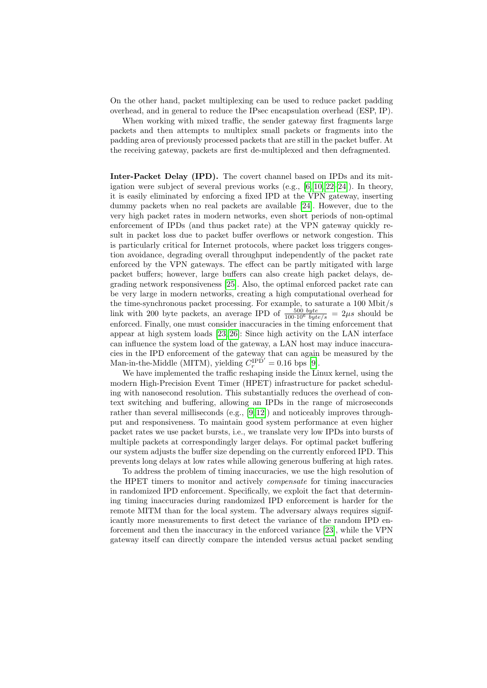On the other hand, packet multiplexing can be used to reduce packet padding overhead, and in general to reduce the IPsec encapsulation overhead (ESP, IP).

When working with mixed traffic, the sender gateway first fragments large packets and then attempts to multiplex small packets or fragments into the padding area of previously processed packets that are still in the packet buffer. At the receiving gateway, packets are first de-multiplexed and then defragmented.

<span id="page-5-0"></span>Inter-Packet Delay (IPD). The covert channel based on IPDs and its mitigation were subject of several previous works (e.g., [\[6,](#page-16-4) [10,](#page-16-8) [22](#page-17-1)[–24\]](#page-17-2)). In theory, it is easily eliminated by enforcing a fixed IPD at the VPN gateway, inserting dummy packets when no real packets are available [\[24\]](#page-17-2). However, due to the very high packet rates in modern networks, even short periods of non-optimal enforcement of IPDs (and thus packet rate) at the VPN gateway quickly result in packet loss due to packet buffer overflows or network congestion. This is particularly critical for Internet protocols, where packet loss triggers congestion avoidance, degrading overall throughput independently of the packet rate enforced by the VPN gateways. The effect can be partly mitigated with large packet buffers; however, large buffers can also create high packet delays, degrading network responsiveness [\[25\]](#page-17-3). Also, the optimal enforced packet rate can be very large in modern networks, creating a high computational overhead for the time-synchronous packet processing. For example, to saturate a 100 Mbit/s link with 200 byte packets, an average IPD of  $\frac{500 \text{ byte}}{100 \cdot 10^6 \text{ byte/s}} = 2 \mu s$  should be enforced. Finally, one must consider inaccuracies in the timing enforcement that appear at high system loads [\[23,](#page-17-4) [26\]](#page-17-5): Since high activity on the LAN interface can influence the system load of the gateway, a LAN host may induce inaccuracies in the IPD enforcement of the gateway that can again be measured by the Man-in-the-Middle (MITM), yielding  $C_r^{\text{IPD}'} = 0.16$  bps [\[9\]](#page-16-7).

We have implemented the traffic reshaping inside the Linux kernel, using the modern High-Precision Event Timer (HPET) infrastructure for packet scheduling with nanosecond resolution. This substantially reduces the overhead of context switching and buffering, allowing an IPDs in the range of microseconds rather than several milliseconds (e.g., [\[9,](#page-16-7) [12\]](#page-16-10)) and noticeably improves throughput and responsiveness. To maintain good system performance at even higher packet rates we use packet bursts, i.e., we translate very low IPDs into bursts of multiple packets at correspondingly larger delays. For optimal packet buffering our system adjusts the buffer size depending on the currently enforced IPD. This prevents long delays at low rates while allowing generous buffering at high rates.

To address the problem of timing inaccuracies, we use the high resolution of the HPET timers to monitor and actively compensate for timing inaccuracies in randomized IPD enforcement. Specifically, we exploit the fact that determining timing inaccuracies during randomized IPD enforcement is harder for the remote MITM than for the local system. The adversary always requires significantly more measurements to first detect the variance of the random IPD enforcement and then the inaccuracy in the enforced variance [\[23\]](#page-17-4), while the VPN gateway itself can directly compare the intended versus actual packet sending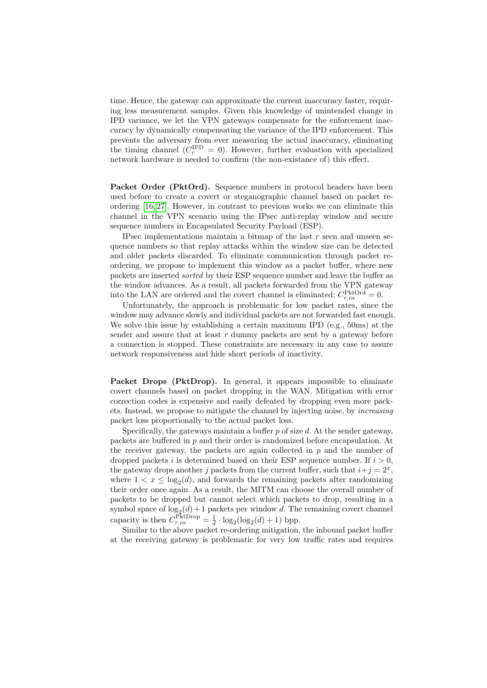time. Hence, the gateway can approximate the current inaccuracy faster, requiring less measurement samples. Given this knowledge of unintended change in IPD variance, we let the VPN gateways compensate for the enforcement inaccuracy by dynamically compensating the variance of the IPD enforcement. This prevents the adversary from ever measuring the actual inaccuracy, eliminating the timing channel  $(C_r^{\text{IPD}} = 0)$ . However, further evaluation with specialized network hardware is needed to confirm (the non-existance of) this effect.

Packet Order (PktOrd). Sequence numbers in protocol headers have been used before to create a covert or steganographic channel based on packet reordering [\[16,](#page-16-13) [27\]](#page-17-6). However, in contrast to previous works we can eliminate this channel in the VPN scenario using the IPsec anti-replay window and secure sequence numbers in Encapsulated Security Payload (ESP).

IPsec implementations maintain a bitmap of the last  $r$  seen and unseen sequence numbers so that replay attacks within the window size can be detected and older packets discarded. To eliminate communication through packet reordering, we propose to implement this window as a packet buffer, where new packets are inserted sorted by their ESP sequence number and leave the buffer as the window advances. As a result, all packets forwarded from the VPN gateway into the LAN are ordered and the covert channel is eliminated:  $C_{r,in}^{\text{PktoOrd}} = 0$ .

Unfortunately, the approach is problematic for low packet rates, since the window may advance slowly and individual packets are not forwarded fast enough. We solve this issue by establishing a certain maximum IPD (e.g., 50ms) at the sender and assure that at least  $r$  dummy packets are sent by a gateway before a connection is stopped. These constraints are necessary in any case to assure network responsiveness and hide short periods of inactivity.

Packet Drops (PktDrop). In general, it appears impossible to eliminate covert channels based on packet dropping in the WAN. Mitigation with error correction codes is expensive and easily defeated by dropping even more packets. Instead, we propose to mitigate the channel by injecting noise, by increasing packet loss proportionally to the actual packet loss.

Specifically, the gateways maintain a buffer  $p$  of size  $d$ . At the sender gateway, packets are buffered in p and their order is randomized before encapsulation. At the receiver gateway, the packets are again collected in  $p$  and the number of dropped packets i is determined based on their ESP sequence number. If  $i > 0$ , the gateway drops another j packets from the current buffer, such that  $i+j=2^x$ , where  $1 < x \leq \log_2(d)$ , and forwards the remaining packets after randomizing their order once again. As a result, the MITM can choose the overall number of packets to be dropped but cannot select which packets to drop, resulting in a symbol space of  $\log_2(d) + 1$  packets per window d. The remaining covert channel capacity is then  $C_{r,in}^{\text{PktDrop}} = \frac{1}{d} \cdot \log_2(\log_2(d) + 1)$  bpp.

Similar to the above packet re-ordering mitigation, the inbound packet buffer at the receiving gateway is problematic for very low traffic rates and requires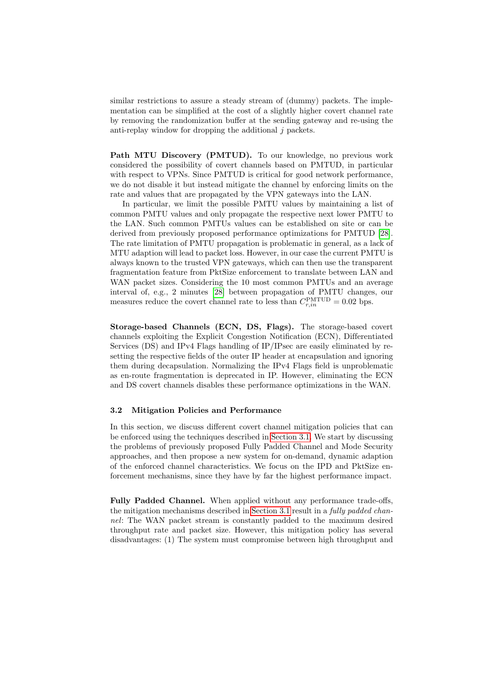similar restrictions to assure a steady stream of (dummy) packets. The implementation can be simplified at the cost of a slightly higher covert channel rate by removing the randomization buffer at the sending gateway and re-using the anti-replay window for dropping the additional  $j$  packets.

Path MTU Discovery (PMTUD). To our knowledge, no previous work considered the possibility of covert channels based on PMTUD, in particular with respect to VPNs. Since PMTUD is critical for good network performance, we do not disable it but instead mitigate the channel by enforcing limits on the rate and values that are propagated by the VPN gateways into the LAN.

In particular, we limit the possible PMTU values by maintaining a list of common PMTU values and only propagate the respective next lower PMTU to the LAN. Such common PMTUs values can be established on site or can be derived from previously proposed performance optimizations for PMTUD [\[28\]](#page-17-7). The rate limitation of PMTU propagation is problematic in general, as a lack of MTU adaption will lead to packet loss. However, in our case the current PMTU is always known to the trusted VPN gateways, which can then use the transparent fragmentation feature from PktSize enforcement to translate between LAN and WAN packet sizes. Considering the 10 most common PMTUs and an average interval of, e.g., 2 minutes [\[28\]](#page-17-7) between propagation of PMTU changes, our measures reduce the covert channel rate to less than  $C_{r,in}^{\text{PMTUD}} = 0.02$  bps.

Storage-based Channels (ECN, DS, Flags). The storage-based covert channels exploiting the Explicit Congestion Notification (ECN), Differentiated Services (DS) and IPv4 Flags handling of IP/IPsec are easily eliminated by resetting the respective fields of the outer IP header at encapsulation and ignoring them during decapsulation. Normalizing the IPv4 Flags field is unproblematic as en-route fragmentation is deprecated in IP. However, eliminating the ECN and DS covert channels disables these performance optimizations in the WAN.

## <span id="page-7-0"></span>3.2 Mitigation Policies and Performance

In this section, we discuss different covert channel mitigation policies that can be enforced using the techniques described in [Section 3.1.](#page-4-1) We start by discussing the problems of previously proposed Fully Padded Channel and Mode Security approaches, and then propose a new system for on-demand, dynamic adaption of the enforced channel characteristics. We focus on the IPD and PktSize enforcement mechanisms, since they have by far the highest performance impact.

<span id="page-7-1"></span>Fully Padded Channel. When applied without any performance trade-offs, the mitigation mechanisms described in [Section 3.1](#page-4-1) result in a *fully padded chan*nel: The WAN packet stream is constantly padded to the maximum desired throughput rate and packet size. However, this mitigation policy has several disadvantages: (1) The system must compromise between high throughput and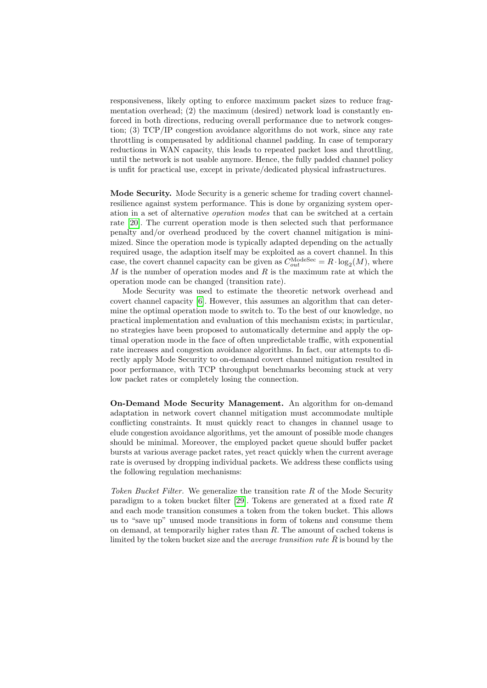responsiveness, likely opting to enforce maximum packet sizes to reduce fragmentation overhead; (2) the maximum (desired) network load is constantly enforced in both directions, reducing overall performance due to network congestion; (3) TCP/IP congestion avoidance algorithms do not work, since any rate throttling is compensated by additional channel padding. In case of temporary reductions in WAN capacity, this leads to repeated packet loss and throttling, until the network is not usable anymore. Hence, the fully padded channel policy is unfit for practical use, except in private/dedicated physical infrastructures.

Mode Security. Mode Security is a generic scheme for trading covert channelresilience against system performance. This is done by organizing system operation in a set of alternative operation modes that can be switched at a certain rate [\[20\]](#page-16-17). The current operation mode is then selected such that performance penalty and/or overhead produced by the covert channel mitigation is minimized. Since the operation mode is typically adapted depending on the actually required usage, the adaption itself may be exploited as a covert channel. In this case, the covert channel capacity can be given as  $C_{out}^{\text{ModeSec}} = R \cdot \log_2(M)$ , where  $M$  is the number of operation modes and  $R$  is the maximum rate at which the operation mode can be changed (transition rate).

Mode Security was used to estimate the theoretic network overhead and covert channel capacity [\[6\]](#page-16-4). However, this assumes an algorithm that can determine the optimal operation mode to switch to. To the best of our knowledge, no practical implementation and evaluation of this mechanism exists; in particular, no strategies have been proposed to automatically determine and apply the optimal operation mode in the face of often unpredictable traffic, with exponential rate increases and congestion avoidance algorithms. In fact, our attempts to directly apply Mode Security to on-demand covert channel mitigation resulted in poor performance, with TCP throughput benchmarks becoming stuck at very low packet rates or completely losing the connection.

<span id="page-8-0"></span>On-Demand Mode Security Management. An algorithm for on-demand adaptation in network covert channel mitigation must accommodate multiple conflicting constraints. It must quickly react to changes in channel usage to elude congestion avoidance algorithms, yet the amount of possible mode changes should be minimal. Moreover, the employed packet queue should buffer packet bursts at various average packet rates, yet react quickly when the current average rate is overused by dropping individual packets. We address these conflicts using the following regulation mechanisms:

Token Bucket Filter. We generalize the transition rate R of the Mode Security paradigm to a token bucket filter [\[29\]](#page-17-8). Tokens are generated at a fixed rate R and each mode transition consumes a token from the token bucket. This allows us to "save up" unused mode transitions in form of tokens and consume them on demand, at temporarily higher rates than R. The amount of cached tokens is limited by the token bucket size and the *average transition rate*  $\overline{R}$  is bound by the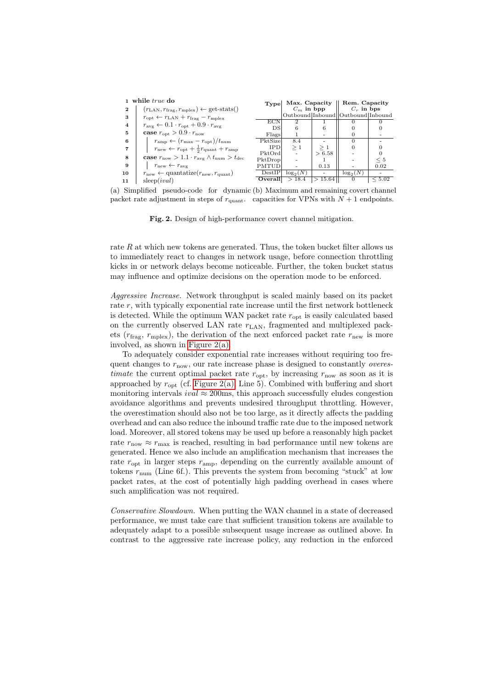<span id="page-9-0"></span>

| 1 while $true$ do       |                                                                                           | Type       | Max. Capacity |        | Rem. Capacity                       |          |
|-------------------------|-------------------------------------------------------------------------------------------|------------|---------------|--------|-------------------------------------|----------|
| $\mathbf 2$             | $(r_{\text{LAN}}, r_{\text{frag}}, r_{\text{mplex}}) \leftarrow \text{get-stats}()$       |            | $C_m$ in bpp  |        | $C_r$ in bps                        |          |
| 3                       | $r_{\rm opt} \leftarrow r_{\rm LAN} + r_{\rm frag} - r_{\rm mplex}$                       |            |               |        | Outbound Inbound   Outbound Inbound |          |
| $\overline{\mathbf{4}}$ | $r_{\text{avg}} \leftarrow 0.1 \cdot r_{\text{opt}} + 0.9 \cdot r_{\text{avg}}$           | ECN        |               |        |                                     |          |
|                         |                                                                                           | DS         | 6             |        |                                     |          |
| 5                       | case $r_{\rm{opt}} > 0.9 \cdot r_{\rm{now}}$                                              | Flags      |               |        |                                     |          |
| 6                       | $r_{\rm amp} \leftarrow (r_{\rm max} - r_{\rm opt})/t_{\rm num}$                          | PktSize    | 8.4           |        |                                     |          |
|                         | $r_{\text{new}} \leftarrow r_{\text{opt}} + \frac{1}{2}r_{\text{quant}} + r_{\text{amp}}$ | <b>IPD</b> | >1            | >1     |                                     |          |
|                         |                                                                                           | PktOrd     |               | > 6.58 |                                     |          |
| 8                       | case $r_{\text{now}} > 1.1 \cdot r_{\text{avg}} \wedge t_{\text{num}} > t_{\text{dec}}$   | PktDrop    |               |        |                                     | $\leq 5$ |
| 9                       | $r_{\text{new}} \leftarrow r_{\text{ave}}$                                                | PMTUD      |               | 0.13   |                                     | 0.02     |
| 10                      | $r_{\text{new}} \leftarrow$ quantatize( $r_{\text{new}}, r_{\text{quant}}$ )              | DestIP     | $log_2(N)$    |        | $log_2(N)$                          |          |
| 11                      | sleep(ival)                                                                               | Overall    | >18.4         | >15.64 |                                     | < 5.02   |

(a) Simplified pseudo-code for dynamic (b) Maximum and remaining covert channel packet rate adjustment in steps of  $r_{\text{quant}}$ . capacities for VPNs with  $N+1$  endpoints.

<span id="page-9-1"></span>Fig. 2. Design of high-performance covert channel mitigation.

rate  $R$  at which new tokens are generated. Thus, the token bucket filter allows us to immediately react to changes in network usage, before connection throttling kicks in or network delays become noticeable. Further, the token bucket status may influence and optimize decisions on the operation mode to be enforced.

Aggressive Increase. Network throughput is scaled mainly based on its packet rate  $r$ , with typically exponential rate increase until the first network bottleneck is detected. While the optimum WAN packet rate  $r_{opt}$  is easily calculated based on the currently observed LAN rate  $r_{\text{LAN}}$ , fragmented and multiplexed packets ( $r_{\text{frag}}, r_{\text{mplex}}$ ), the derivation of the next enforced packet rate  $r_{\text{new}}$  is more involved, as shown in Figure  $2(a)$ .

To adequately consider exponential rate increases without requiring too frequent changes to  $r_{\text{now}}$ , our rate increase phase is designed to constantly *overes*timate the current optimal packet rate  $r_{\rm opt}$ , by increasing  $r_{\rm now}$  as soon as it is approached by  $r_{\rm opt}$  (cf. [Figure 2\(a\),](#page-9-0) Line 5). Combined with buffering and short monitoring intervals  $ival \approx 200$ ms, this approach successfully eludes congestion avoidance algorithms and prevents undesired throughput throttling. However, the overestimation should also not be too large, as it directly affects the padding overhead and can also reduce the inbound traffic rate due to the imposed network load. Moreover, all stored tokens may be used up before a reasonably high packet rate  $r_{\text{now}} \approx r_{\text{max}}$  is reached, resulting in bad performance until new tokens are generated. Hence we also include an amplification mechanism that increases the rate  $r_{\rm opt}$  in larger steps  $r_{\rm amp}$ , depending on the currently available amount of tokens  $r_{\text{num}}$  (Line 6f.). This prevents the system from becoming "stuck" at low packet rates, at the cost of potentially high padding overhead in cases where such amplification was not required.

Conservative Slowdown. When putting the WAN channel in a state of decreased performance, we must take care that sufficient transition tokens are available to adequately adapt to a possible subsequent usage increase as outlined above. In contrast to the aggressive rate increase policy, any reduction in the enforced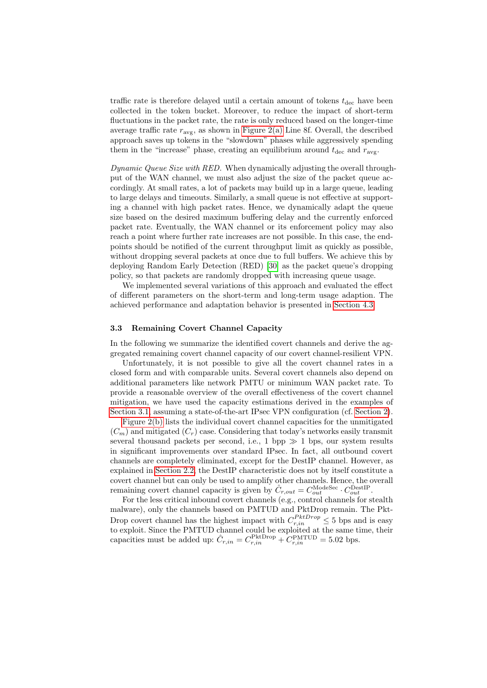traffic rate is therefore delayed until a certain amount of tokens  $t_{\text{dec}}$  have been collected in the token bucket. Moreover, to reduce the impact of short-term fluctuations in the packet rate, the rate is only reduced based on the longer-time average traffic rate  $r_{\text{avg}}$ , as shown in [Figure 2\(a\)](#page-9-0) Line 8f. Overall, the described approach saves up tokens in the "slowdown" phases while aggressively spending them in the "increase" phase, creating an equilibrium around  $t_{\text{dec}}$  and  $r_{\text{ave}}$ .

Dynamic Queue Size with RED. When dynamically adjusting the overall throughput of the WAN channel, we must also adjust the size of the packet queue accordingly. At small rates, a lot of packets may build up in a large queue, leading to large delays and timeouts. Similarly, a small queue is not effective at supporting a channel with high packet rates. Hence, we dynamically adapt the queue size based on the desired maximum buffering delay and the currently enforced packet rate. Eventually, the WAN channel or its enforcement policy may also reach a point where further rate increases are not possible. In this case, the endpoints should be notified of the current throughput limit as quickly as possible, without dropping several packets at once due to full buffers. We achieve this by deploying Random Early Detection (RED) [\[30\]](#page-17-9) as the packet queue's dropping policy, so that packets are randomly dropped with increasing queue usage.

We implemented several variations of this approach and evaluated the effect of different parameters on the short-term and long-term usage adaption. The achieved performance and adaptation behavior is presented in [Section 4.3.](#page-13-0)

### <span id="page-10-0"></span>3.3 Remaining Covert Channel Capacity

In the following we summarize the identified covert channels and derive the aggregated remaining covert channel capacity of our covert channel-resilient VPN.

Unfortunately, it is not possible to give all the covert channel rates in a closed form and with comparable units. Several covert channels also depend on additional parameters like network PMTU or minimum WAN packet rate. To provide a reasonable overview of the overall effectiveness of the covert channel mitigation, we have used the capacity estimations derived in the examples of [Section 3.1,](#page-4-1) assuming a state-of-the-art IPsec VPN configuration (cf. [Section 2\)](#page-2-0).

[Figure 2\(b\)](#page-9-1) lists the individual covert channel capacities for the unmitigated  $(C_m)$  and mitigated  $(C_r)$  case. Considering that today's networks easily transmit several thousand packets per second, i.e., 1 bpp  $\gg$  1 bps, our system results in significant improvements over standard IPsec. In fact, all outbound covert channels are completely eliminated, except for the DestIP channel. However, as explained in [Section 2.2,](#page-2-1) the DestIP characteristic does not by itself constitute a covert channel but can only be used to amplify other channels. Hence, the overall remaining covert channel capacity is given by  $\hat{C}_{r,out} = C_{out}^{\text{ModeSec}} \cdot C_{out}^{\text{DestIP}}$ .

For the less critical inbound covert channels (e.g., control channels for stealth malware), only the channels based on PMTUD and PktDrop remain. The Pkt-Drop covert channel has the highest impact with  $C_{r,in}^{PktDrop} \leq 5$  bps and is easy to exploit. Since the PMTUD channel could be exploited at the same time, their capacities must be added up:  $\hat{C}_{r,in} = C_{r,in}^{\text{PktDrop}} + C_{r,in}^{\text{PMTUD}} = 5.02$  bps.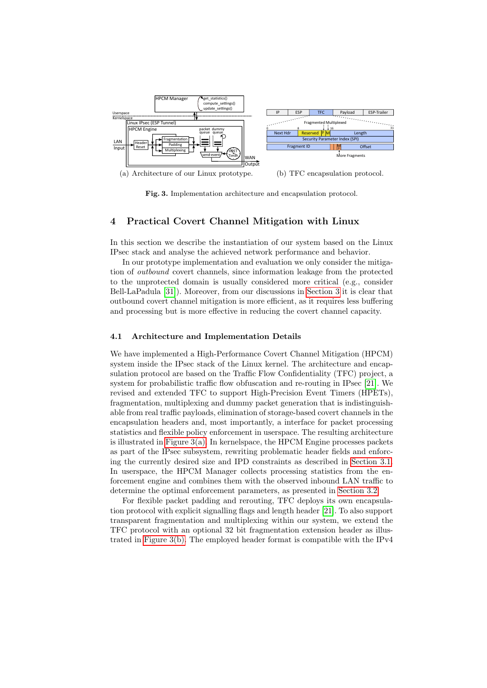<span id="page-11-1"></span>

<span id="page-11-2"></span>Fig. 3. Implementation architecture and encapsulation protocol.

## <span id="page-11-0"></span>4 Practical Covert Channel Mitigation with Linux

In this section we describe the instantiation of our system based on the Linux IPsec stack and analyse the achieved network performance and behavior.

In our prototype implementation and evaluation we only consider the mitigation of outbound covert channels, since information leakage from the protected to the unprotected domain is usually considered more critical (e.g., consider Bell-LaPadula [\[31\]](#page-17-10)). Moreover, from our discussions in [Section 3](#page-4-0) it is clear that outbound covert channel mitigation is more efficient, as it requires less buffering and processing but is more effective in reducing the covert channel capacity.

## 4.1 Architecture and Implementation Details

We have implemented a High-Performance Covert Channel Mitigation (HPCM) system inside the IPsec stack of the Linux kernel. The architecture and encapsulation protocol are based on the Traffic Flow Confidentiality (TFC) project, a system for probabilistic traffic flow obfuscation and re-routing in IPsec [\[21\]](#page-17-0). We revised and extended TFC to support High-Precision Event Timers (HPETs), fragmentation, multiplexing and dummy packet generation that is indistinguishable from real traffic payloads, elimination of storage-based covert channels in the encapsulation headers and, most importantly, a interface for packet processing statistics and flexible policy enforcement in userspace. The resulting architecture is illustrated in Figure  $3(a)$ . In kernelspace, the HPCM Engine processes packets as part of the IPsec subsystem, rewriting problematic header fields and enforcing the currently desired size and IPD constraints as described in [Section 3.1.](#page-4-1) In userspace, the HPCM Manager collects processing statistics from the enforcement engine and combines them with the observed inbound LAN traffic to determine the optimal enforcement parameters, as presented in [Section 3.2.](#page-8-0)

For flexible packet padding and rerouting, TFC deploys its own encapsulation protocol with explicit signalling flags and length header [\[21\]](#page-17-0). To also support transparent fragmentation and multiplexing within our system, we extend the TFC protocol with an optional 32 bit fragmentation extension header as illustrated in [Figure 3\(b\).](#page-11-2) The employed header format is compatible with the IPv4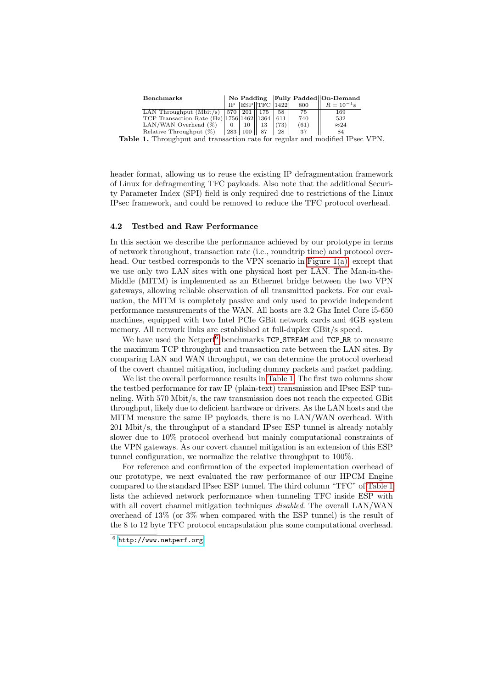| Benchmarks                                     |     |     | No Padding   Fully Padded  On-Demand |                         |      |                       |
|------------------------------------------------|-----|-----|--------------------------------------|-------------------------|------|-----------------------|
|                                                |     |     |                                      | $IP$ $ ESP  TFC  1422 $ | 800  | $\bar{R} = 10^{-1}$ s |
| LAN Throughput (Mbit/s)   570   201    175     |     |     |                                      | 58                      | 75   | 169                   |
| TCP Transaction Rate $(Hz)$ 1756 1462 1364 611 |     |     |                                      |                         | 740  | 532                   |
| $LAN/WAN$ Overhead $(\%)$                      |     |     |                                      |                         | (61) | $\approx 24$          |
| Relative Throughput $(\%)$                     | 283 | 100 |                                      | 28                      | 37   | 84                    |

<span id="page-12-1"></span>Table 1. Throughput and transaction rate for regular and modified IPsec VPN.

header format, allowing us to reuse the existing IP defragmentation framework of Linux for defragmenting TFC payloads. Also note that the additional Security Parameter Index (SPI) field is only required due to restrictions of the Linux IPsec framework, and could be removed to reduce the TFC protocol overhead.

#### 4.2 Testbed and Raw Performance

In this section we describe the performance achieved by our prototype in terms of network throughout, transaction rate (i.e., roundtrip time) and protocol overhead. Our testbed corresponds to the VPN scenario in [Figure 1\(a\),](#page-3-0) except that we use only two LAN sites with one physical host per LAN. The Man-in-the-Middle (MITM) is implemented as an Ethernet bridge between the two VPN gateways, allowing reliable observation of all transmitted packets. For our evaluation, the MITM is completely passive and only used to provide independent performance measurements of the WAN. All hosts are 3.2 Ghz Intel Core i5-650 machines, equipped with two Intel PCIe GBit network cards and 4GB system memory. All network links are established at full-duplex GBit/s speed.

We have used the Netperf<sup>[6](#page-12-0)</sup> benchmarks TCP\_STREAM and TCP\_RR to measure the maximum TCP throughput and transaction rate between the LAN sites. By comparing LAN and WAN throughput, we can determine the protocol overhead of the covert channel mitigation, including dummy packets and packet padding.

We list the overall performance results in [Table 1.](#page-12-1) The first two columns show the testbed performance for raw IP (plain-text) transmission and IPsec ESP tunneling. With 570 Mbit/s, the raw transmission does not reach the expected GBit throughput, likely due to deficient hardware or drivers. As the LAN hosts and the MITM measure the same IP payloads, there is no LAN/WAN overhead. With 201 Mbit/s, the throughput of a standard IPsec ESP tunnel is already notably slower due to 10% protocol overhead but mainly computational constraints of the VPN gateways. As our covert channel mitigation is an extension of this ESP tunnel configuration, we normalize the relative throughput to 100%.

For reference and confirmation of the expected implementation overhead of our prototype, we next evaluated the raw performance of our HPCM Engine compared to the standard IPsec ESP tunnel. The third column "TFC" of [Table 1](#page-12-1) lists the achieved network performance when tunneling TFC inside ESP with with all covert channel mitigation techniques *disabled*. The overall LAN/WAN overhead of 13% (or 3% when compared with the ESP tunnel) is the result of the 8 to 12 byte TFC protocol encapsulation plus some computational overhead.

<span id="page-12-0"></span> $^6$  <http://www.netperf.org>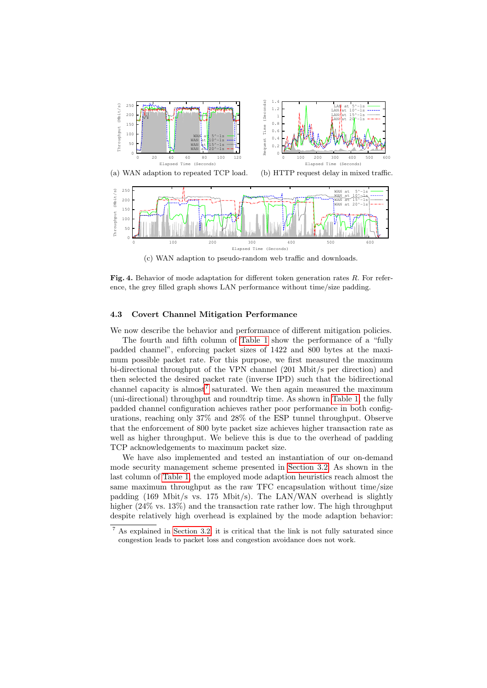<span id="page-13-2"></span>

<span id="page-13-4"></span>(c) WAN adaption to pseudo-random web traffic and downloads.

<span id="page-13-3"></span>**Fig. 4.** Behavior of mode adaptation for different token generation rates  $R$ . For reference, the grey filled graph shows LAN performance without time/size padding.

#### <span id="page-13-0"></span>4.3 Covert Channel Mitigation Performance

We now describe the behavior and performance of different mitigation policies. The fourth and fifth column of [Table 1](#page-12-1) show the performance of a "fully padded channel", enforcing packet sizes of 1422 and 800 bytes at the maximum possible packet rate. For this purpose, we first measured the maximum bi-directional throughput of the VPN channel (201 Mbit/s per direction) and then selected the desired packet rate (inverse IPD) such that the bidirectional channel capacity is almost<sup>[7](#page-13-1)</sup> saturated. We then again measured the maximum (uni-directional) throughput and roundtrip time. As shown in [Table 1,](#page-12-1) the fully padded channel configuration achieves rather poor performance in both configurations, reaching only 37% and 28% of the ESP tunnel throughput. Observe that the enforcement of 800 byte packet size achieves higher transaction rate as well as higher throughput. We believe this is due to the overhead of padding TCP acknowledgements to maximum packet size.

We have also implemented and tested an instantiation of our on-demand mode security management scheme presented in [Section 3.2.](#page-8-0) As shown in the last column of [Table 1,](#page-12-1) the employed mode adaption heuristics reach almost the same maximum throughput as the raw TFC encapsulation without time/size padding (169 Mbit/s vs. 175 Mbit/s). The LAN/WAN overhead is slightly higher  $(24\% \text{ vs. } 13\%)$  and the transaction rate rather low. The high throughput despite relatively high overhead is explained by the mode adaption behavior:

<span id="page-13-1"></span>As explained in [Section 3.2,](#page-7-1) it is critical that the link is not fully saturated since congestion leads to packet loss and congestion avoidance does not work.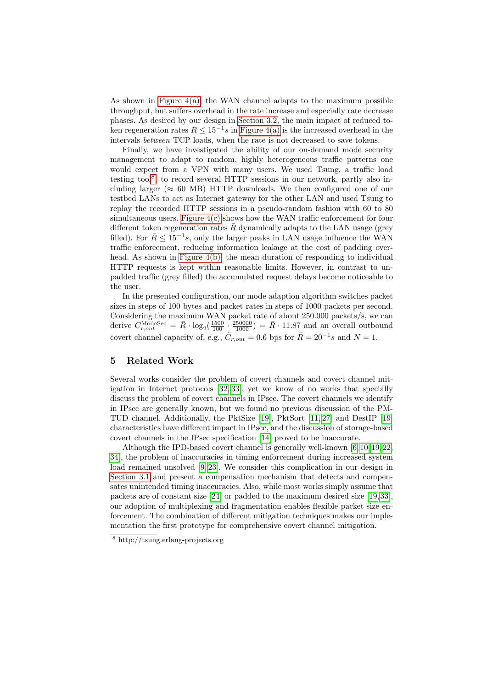As shown in Figure  $4(a)$ , the WAN channel adapts to the maximum possible throughput, but suffers overhead in the rate increase and especially rate decrease phases. As desired by our design in [Section 3.2,](#page-8-0) the main impact of reduced token regeneration rates  $\bar{R} \leq 15^{-1} s$  in [Figure 4\(a\)](#page-13-2) is the increased overhead in the intervals between TCP loads, when the rate is not decreased to save tokens.

Finally, we have investigated the ability of our on-demand mode security management to adapt to random, highly heterogeneous traffic patterns one would expect from a VPN with many users. We used Tsung, a traffic load testing tool<sup>[8](#page-14-1)</sup>, to record several HTTP sessions in our network, partly also including larger ( $\approx 60$  MB) HTTP downloads. We then configured one of our testbed LANs to act as Internet gateway for the other LAN and used Tsung to replay the recorded HTTP sessions in a pseudo-random fashion with 60 to 80 simultaneous users. [Figure 4\(c\)](#page-13-3) shows how the WAN traffic enforcement for four different token regeneration rates  $\bar{R}$  dynamically adapts to the LAN usage (grey filled). For  $\bar{R} \leq 15^{-1}s$ , only the larger peaks in LAN usage influence the WAN traffic enforcement, reducing information leakage at the cost of padding over-head. As shown in [Figure 4\(b\),](#page-13-4) the mean duration of responding to individual HTTP requests is kept within reasonable limits. However, in contrast to unpadded traffic (grey filled) the accumulated request delays become noticeable to the user.

In the presented configuration, our mode adaption algorithm switches packet sizes in steps of 100 bytes and packet rates in steps of 1000 packets per second. Considering the maximum WAN packet rate of about 250.000 packets/s, we can derive  $C_{r,out}^{\text{ModeSec}} = \bar{R} \cdot \log_2(\frac{1500}{100} \cdot \frac{250000}{1000}) = \bar{R} \cdot 11.87$  and an overall outbound covert channel capacity of, e.g.,  $\hat{C}_{r,out} = 0.6$  bps for  $\bar{R} = 20^{-1}s$  and  $N = 1$ .

# <span id="page-14-0"></span>5 Related Work

Several works consider the problem of covert channels and covert channel mitigation in Internet protocols [\[32,](#page-17-11) [33\]](#page-17-12), yet we know of no works that specially discuss the problem of covert channels in IPsec. The covert channels we identify in IPsec are generally known, but we found no previous discussion of the PM-TUD channel. Additionally, the PktSize [\[19\]](#page-16-16), PktSort [\[11,](#page-16-9) [27\]](#page-17-6) and DestIP [\[19\]](#page-16-16) characteristics have different impact in IPsec, and the discussion of storage-based covert channels in the IPsec specification [\[14\]](#page-16-12) proved to be inaccurate.

Although the IPD-based covert channel is generally well-known [\[6,](#page-16-4) [10,](#page-16-8) [19,](#page-16-16) [22,](#page-17-1) [34\]](#page-17-13), the problem of inaccuracies in timing enforcement during increased system load remained unsolved [\[9,](#page-16-7) [23\]](#page-17-4). We consider this complication in our design in [Section 3.1](#page-5-0) and present a compensation mechanism that detects and compensates unintended timing inaccuracies. Also, while most works simply assume that packets are of constant size [\[24\]](#page-17-2) or padded to the maximum desired size [\[19,](#page-16-16) [33\]](#page-17-12), our adoption of multiplexing and fragmentation enables flexible packet size enforcement. The combination of different mitigation techniques makes our implementation the first prototype for comprehensive covert channel mitigation.

<span id="page-14-1"></span><sup>8</sup> http://tsung.erlang-projects.org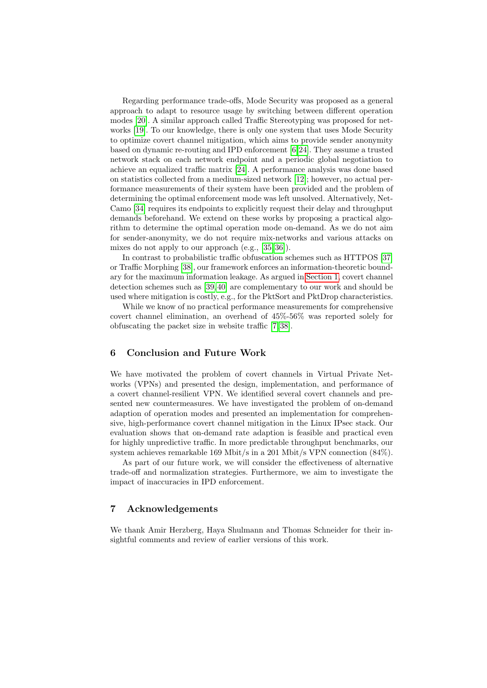Regarding performance trade-offs, Mode Security was proposed as a general approach to adapt to resource usage by switching between different operation modes [\[20\]](#page-16-17). A similar approach called Traffic Stereotyping was proposed for networks [\[19\]](#page-16-16). To our knowledge, there is only one system that uses Mode Security to optimize covert channel mitigation, which aims to provide sender anonymity based on dynamic re-routing and IPD enforcement [\[6,](#page-16-4)[24\]](#page-17-2). They assume a trusted network stack on each network endpoint and a periodic global negotiation to achieve an equalized traffic matrix [\[24\]](#page-17-2). A performance analysis was done based on statistics collected from a medium-sized network [\[12\]](#page-16-10); however, no actual performance measurements of their system have been provided and the problem of determining the optimal enforcement mode was left unsolved. Alternatively, Net-Camo [\[34\]](#page-17-13) requires its endpoints to explicitly request their delay and throughput demands beforehand. We extend on these works by proposing a practical algorithm to determine the optimal operation mode on-demand. As we do not aim for sender-anonymity, we do not require mix-networks and various attacks on mixes do not apply to our approach (e.g., [\[35,](#page-17-14) [36\]](#page-17-15)).

In contrast to probabilistic traffic obfuscation schemes such as HTTPOS [\[37\]](#page-17-16) or Traffic Morphing [\[38\]](#page-17-17), our framework enforces an information-theoretic boundary for the maximum information leakage. As argued in [Section 1,](#page-0-0) covert channel detection schemes such as [\[39,](#page-17-18)[40\]](#page-17-19) are complementary to our work and should be used where mitigation is costly, e.g., for the PktSort and PktDrop characteristics.

While we know of no practical performance measurements for comprehensive covert channel elimination, an overhead of 45%-56% was reported solely for obfuscating the packet size in website traffic [\[7,](#page-16-5) [38\]](#page-17-17).

## <span id="page-15-0"></span>6 Conclusion and Future Work

We have motivated the problem of covert channels in Virtual Private Networks (VPNs) and presented the design, implementation, and performance of a covert channel-resilient VPN. We identified several covert channels and presented new countermeasures. We have investigated the problem of on-demand adaption of operation modes and presented an implementation for comprehensive, high-performance covert channel mitigation in the Linux IPsec stack. Our evaluation shows that on-demand rate adaption is feasible and practical even for highly unpredictive traffic. In more predictable throughput benchmarks, our system achieves remarkable 169 Mbit/s in a 201 Mbit/s VPN connection  $(84\%).$ 

As part of our future work, we will consider the effectiveness of alternative trade-off and normalization strategies. Furthermore, we aim to investigate the impact of inaccuracies in IPD enforcement.

# 7 Acknowledgements

We thank Amir Herzberg, Haya Shulmann and Thomas Schneider for their insightful comments and review of earlier versions of this work.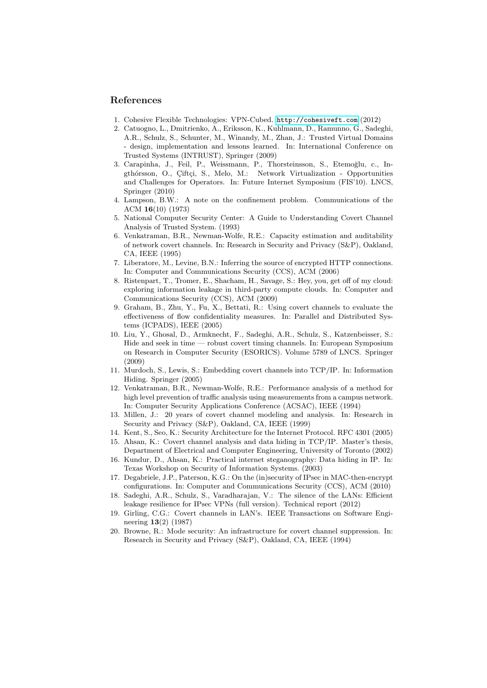## References

- <span id="page-16-0"></span>1. Cohesive Flexible Technologies: VPN-Cubed. <http://cohesiveft.com> (2012)
- 2. Catuogno, L., Dmitrienko, A., Eriksson, K., Kuhlmann, D., Ramunno, G., Sadeghi, A.R., Schulz, S., Schunter, M., Winandy, M., Zhan, J.: Trusted Virtual Domains - design, implementation and lessons learned. In: International Conference on Trusted Systems (INTRUST), Springer (2009)
- <span id="page-16-1"></span>3. Carapinha, J., Feil, P., Weissmann, P., Thorsteinsson, S., Etemoğlu, c., Ingthórsson, O., Çiftçi, S., Melo, M.: Network Virtualization - Opportunities and Challenges for Operators. In: Future Internet Symposium (FIS'10). LNCS, Springer (2010)
- <span id="page-16-2"></span>4. Lampson, B.W.: A note on the confinement problem. Communications of the ACM 16(10) (1973)
- <span id="page-16-3"></span>5. National Computer Security Center: A Guide to Understanding Covert Channel Analysis of Trusted System. (1993)
- <span id="page-16-4"></span>6. Venkatraman, B.R., Newman-Wolfe, R.E.: Capacity estimation and auditability of network covert channels. In: Research in Security and Privacy (S&P), Oakland, CA, IEEE (1995)
- <span id="page-16-5"></span>7. Liberatore, M., Levine, B.N.: Inferring the source of encrypted HTTP connections. In: Computer and Communications Security (CCS), ACM (2006)
- <span id="page-16-6"></span>8. Ristenpart, T., Tromer, E., Shacham, H., Savage, S.: Hey, you, get off of my cloud: exploring information leakage in third-party compute clouds. In: Computer and Communications Security (CCS), ACM (2009)
- <span id="page-16-7"></span>9. Graham, B., Zhu, Y., Fu, X., Bettati, R.: Using covert channels to evaluate the effectiveness of flow confidentiality measures. In: Parallel and Distributed Systems (ICPADS), IEEE (2005)
- <span id="page-16-8"></span>10. Liu, Y., Ghosal, D., Armknecht, F., Sadeghi, A.R., Schulz, S., Katzenbeisser, S.: Hide and seek in time — robust covert timing channels. In: European Symposium on Research in Computer Security (ESORICS). Volume 5789 of LNCS. Springer (2009)
- <span id="page-16-9"></span>11. Murdoch, S., Lewis, S.: Embedding covert channels into TCP/IP. In: Information Hiding. Springer (2005)
- <span id="page-16-10"></span>12. Venkatraman, B.R., Newman-Wolfe, R.E.: Performance analysis of a method for high level prevention of traffic analysis using measurements from a campus network. In: Computer Security Applications Conference (ACSAC), IEEE (1994)
- <span id="page-16-11"></span>13. Millen, J.: 20 years of covert channel modeling and analysis. In: Research in Security and Privacy (S&P), Oakland, CA, IEEE (1999)
- <span id="page-16-12"></span>14. Kent, S., Seo, K.: Security Architecture for the Internet Protocol. RFC 4301 (2005)
- 15. Ahsan, K.: Covert channel analysis and data hiding in TCP/IP. Master's thesis, Department of Electrical and Computer Engineering, University of Toronto (2002)
- <span id="page-16-13"></span>16. Kundur, D., Ahsan, K.: Practical internet steganography: Data hiding in IP. In: Texas Workshop on Security of Information Systems. (2003)
- <span id="page-16-14"></span>17. Degabriele, J.P., Paterson, K.G.: On the (in)security of IPsec in MAC-then-encrypt configurations. In: Computer and Communications Security (CCS), ACM (2010)
- <span id="page-16-15"></span>18. Sadeghi, A.R., Schulz, S., Varadharajan, V.: The silence of the LANs: Efficient leakage resilience for IPsec VPNs (full version). Technical report (2012)
- <span id="page-16-16"></span>19. Girling, C.G.: Covert channels in LAN's. IEEE Transactions on Software Engineering 13(2) (1987)
- <span id="page-16-17"></span>20. Browne, R.: Mode security: An infrastructure for covert channel suppression. In: Research in Security and Privacy (S&P), Oakland, CA, IEEE (1994)